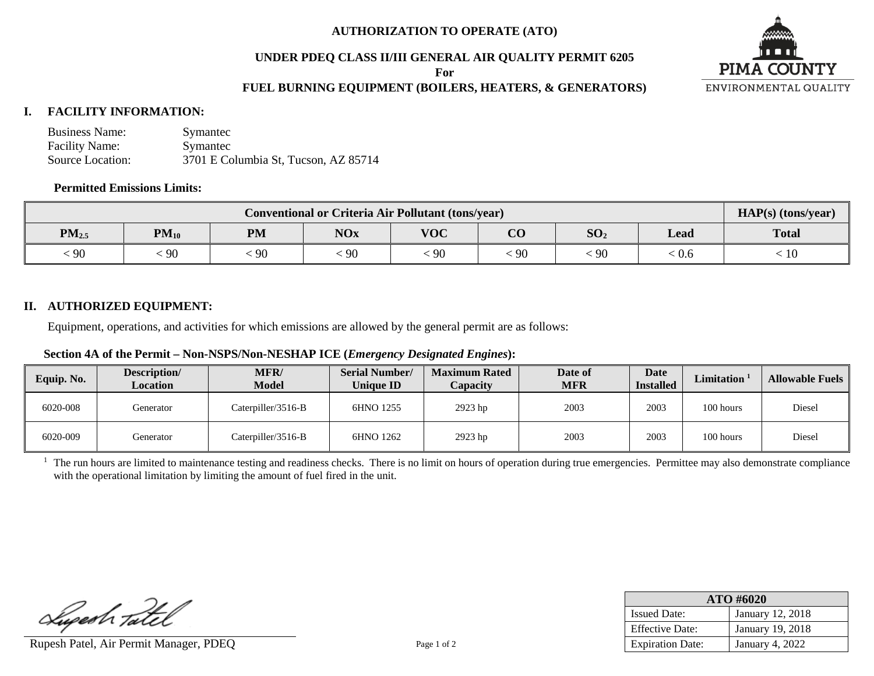#### **AUTHORIZATION TO OPERATE (ATO)**

#### **UNDER PDEQ CLASS II/III GENERAL AIR QUALITY PERMIT 6205**

**For**

# **FUEL BURNING EQUIPMENT (BOILERS, HEATERS, & GENERATORS)**



# **I. FACILITY INFORMATION:**

| <b>Business Name:</b> | Symantec                             |
|-----------------------|--------------------------------------|
| <b>Facility Name:</b> | Symantec                             |
| Source Location:      | 3701 E Columbia St, Tucson, AZ 85714 |

# **Permitted Emissions Limits:**

| <b>Conventional or Criteria Air Pollutant (tons/year)</b> |           |           |            |            |                         |                 | $HAP(s)$ (tons/year) |              |
|-----------------------------------------------------------|-----------|-----------|------------|------------|-------------------------|-----------------|----------------------|--------------|
| $PM_{2.5}$                                                | $PM_{10}$ | <b>PM</b> | <b>NOx</b> | <b>VOC</b> | $\overline{\mathbf{C}}$ | SO <sub>2</sub> | Lead                 | <b>Total</b> |
| 90                                                        | 90        | 90        | 90         | $\cdot$ 90 | 90                      | $\Omega$<br>19U | 0.6                  | 10           |

# **II. AUTHORIZED EQUIPMENT:**

Equipment, operations, and activities for which emissions are allowed by the general permit are as follows:

#### **Section 4A of the Permit – Non-NSPS/Non-NESHAP ICE (***Emergency Designated Engines***):**

| Equip. No. | Description/<br><b>Location</b> | <b>MFR/</b><br>Model | <b>Serial Number/</b><br><b>Unique ID</b> | <b>Maximum Rated</b><br>Capacity | Date of<br><b>MFR</b> | Date<br><b>Installed</b> | Limitation <sup>1</sup> | <b>Allowable Fuels</b> |
|------------|---------------------------------|----------------------|-------------------------------------------|----------------------------------|-----------------------|--------------------------|-------------------------|------------------------|
| 6020-008   | Generator                       | Caterpiller/3516-B   | 6HNO 1255                                 | 2923 hp                          | 2003                  | 2003                     | 100 hours               | Diesel                 |
| 6020-009   | Generator                       | Caterpiller/3516-B   | 6HNO 1262                                 | 2923 hp                          | 2003                  | 2003                     | 100 hours               | Diesel                 |

 $<sup>1</sup>$  The run hours are limited to maintenance testing and readiness checks. There is no limit on hours of operation during true emergencies. Permittee may also demonstrate compliance</sup> with the operational limitation by limiting the amount of fuel fired in the unit.

Superh Tatel

Rupesh Patel, Air Permit Manager, PDEQ Page 1 of 2

| ATO #6020               |                  |  |  |  |
|-------------------------|------------------|--|--|--|
| <b>Issued Date:</b>     | January 12, 2018 |  |  |  |
| <b>Effective Date:</b>  | January 19, 2018 |  |  |  |
| <b>Expiration Date:</b> | January 4, 2022  |  |  |  |